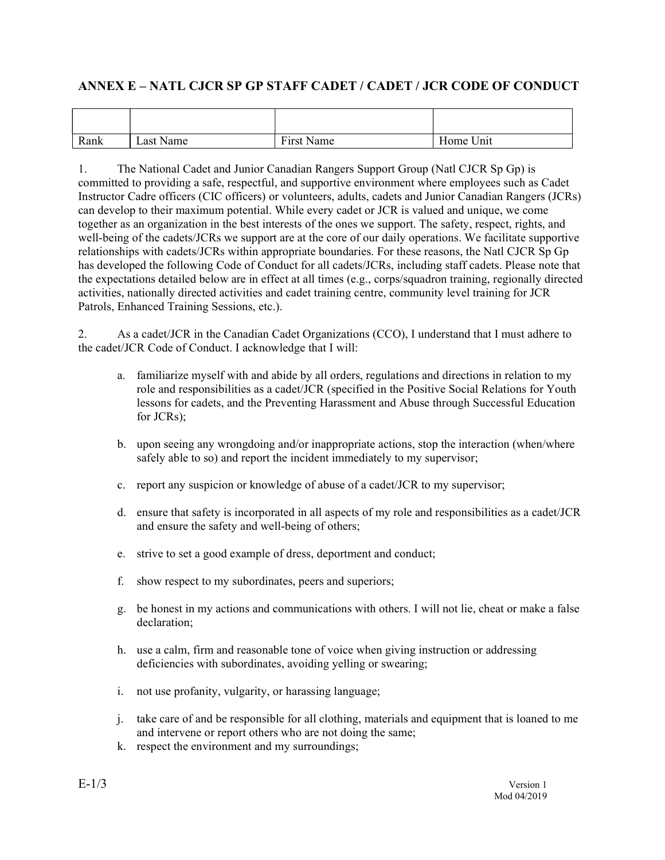| ANNEX E - NATL CJCR SP GP STAFF CADET / CADET / JCR CODE OF CONDUCT |           |            |           |
|---------------------------------------------------------------------|-----------|------------|-----------|
|                                                                     |           |            |           |
| Rank                                                                | Last Name | First Name | Home Unit |
|                                                                     |           |            |           |

**ANNEX E – NATL CJCR SP GP STAFF CADET / CADET / JCR CODE OF CONDUCT**<br>
Rank Last Name First Name First Name Home Unit<br>
1. The National Cadet and Junior Canadian Rangers Support Group (Natl CJCR Sp Gp) is<br>
committed to pro **ANNEX E – NATL CJCR SP GP STAFF CADET / CADET / JCR CODE OF CONDUCT**<br>
Rank Last Name First Name Home Unit<br>
1. The National Cadet and Junior Canadian Rangers Support Group (Natl CJCR Sp Gp) is<br>
committed to providing a sa committed to providing a safe, respectful, and supportive environment where employees such as Cadet **ANNEX E – NATL CJCR SP GP STAFF CADET / CADET / JCR CODE OF CONDUCT**<br>
Instructor Care of First Name First Name Home Unit<br>
Instructor Cade and Junior Canadian Rangers Support Group (Natl CICR Sp Gp) is<br>
committed to provid can develop to their maximum potential. While every cadet or JCR is valued and unique, we come together as an organization in the best interests of the ones we support. The safety, respect, rights, and well-being of the cadets/JCRs we support are at the core of our daily operations. We facilitate supportive relationships with cadets/JCRs within appropriate boundaries. For these reasons, the Natl CJCR Sp Gp has developed the following Code of Conduct for all cadets/JCRs, including staff cadets. Please note that the expectations detailed below are in effect at all times (e.g., corps/squadron training, regionally directed activities, nationally directed activities and cadet training centre, community level training for JCR Patrols, Enhanced Training Sessions, etc.). ANNEX E – NATL CJCR SP GP STAFF CADET / CADET / JCR CODE OF CONDUCT<br>
Rank <br>
Last Name <br>
I Last Name <br>
I Last Name <br>
I Last Name <br>
I Last Name <br>
I Last Name <br>
I Last Name <br>
I Last Name <br>
I Last Name <br>
I Last Name <br>
I Last **Example 12.1** First Name First Name First Name Home Unit The National Cadet and Junior Canadian Rangers Support Group (Natl CJCR Sp Gp) is edd to providing a safe, respectful, and supportive environment where employees su The National Cadet and Junior Canadian Rangers Support Group (Natl CJCR Sp Gp) is<br>ed to providing a safe, respectful, and supportive environment where employees such as Cadet<br>of cadee officers (CIC offreers) or volumeters, stable protheir maximum potential. While every cadet or JCR is valued and unique, we come<br>as an organization in the best interests of the ones we support. The safety, respect, rights, and<br>ng of the cadets/JCRs we support a mg of the cadets/ICRs we support are at the core of our daily operations. We facilitate supportive<br>dinjps with cadets/ICRs within appropriate buondaries. For these reasons, the Nail and CICR Sp Gp<br>ideological the following

the cadet/JCR Code of Conduct. I acknowledge that I will:

- role and responsibilities as a cadet/JCR (specified in the Positive Social Relations for Youth lessons for cadets, and the Preventing Harassment and Abuse through Successful Education for JCRs); ctations detailed below are in effect at all times (e.g., corps/squadron training, region, s, nationally directed activities and cadet training centre, community level training for Enhanced Training Sessions, etc.).<br>As a c Enhanced Training Sessions, etc.).<br>
As a cadet/ICR in the Canadian Cadet Organizations (CCO), I understand that<br>
t/JCR Code of Conduct. I acknowledge that I will:<br>
a. familiarize myself with and abide by all orders, regula As a cadet/JCR in the Canadian Cadet Organizations (CCO), I understand that I must adhere to<br>
vJCR Code of Conduct. I acknowledge that I will:<br>
a. familiarize myself with and abide by all orders, regulations and direction a. familiarize myself with and abide by all orders, regulations and directions in relation to my<br>role and responsibilities as a cadet/JCR (specified in the Positive Social Relations for Youth<br>besons for cadets, and the Pre
- safely able to so) and report the incident immediately to my supervisor; i. The use profanity, vulgarity, or hardsing language;<br>
i. the case of a casety able to so) and report the incident immediately to my supervisor;<br>
c. report any suspicion or knowledge of abuse of a cadet/JCR to my supervis
- 
- and ensure the safety and well-being of others; b. upon seeing any wrongdoing and/or inappropriate actions, stop the interaction (when/where safely able to so) and report the incident immediately to my supervisor;<br>
c. report any suspicion or knowledge of abuse of a cade c. report any suspicion or knowledge of abuse of a cadet/JCR to my supervis<br>d. ensure that safety is incorporated in all aspects of my role and responsibili<br>and ensure the safety and well-being of others;<br>e. strive to set
- 
- 
- declaration;
- deficiencies with subordinates, avoiding yelling or swearing;
- 
- and intervene or report others who are not doing the same;
-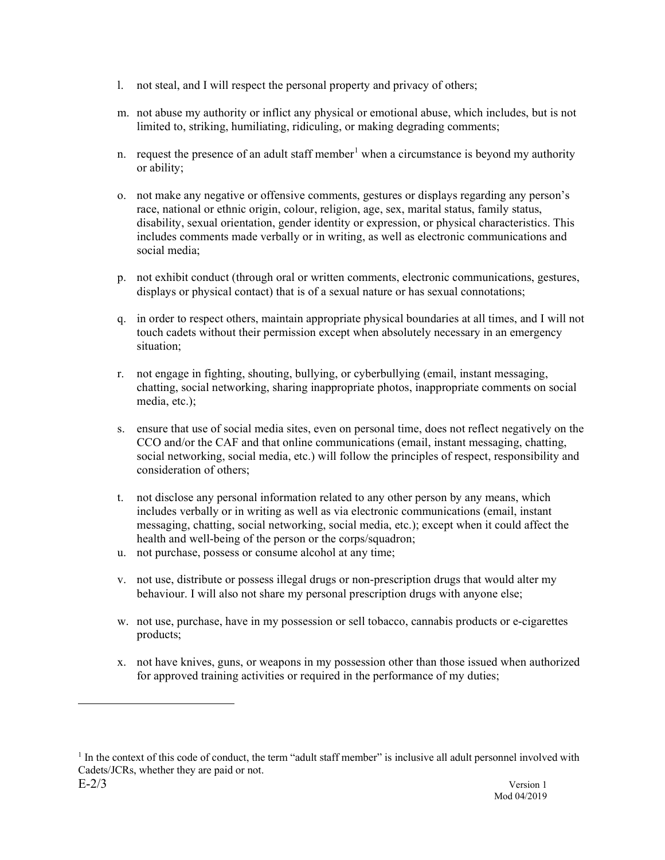- 
- l. not steal, and I will respect the personal property and privacy of others;<br>m. not abuse my authority or inflict any physical or emotional abuse, which includes, but is no<br>limited to, striking, humiliating, ridiculing, o limited to, striking, humiliating, ridiculing, or making degrading comments;
- 1. not steal, and I will respect the personal property and privacy of others;<br>m. not abuse my authority or inflict any physical or emotional abuse, which includes, but is not<br>limited to, striking, humiliating, ridiculing, or ability;
- 1. not steal, and I will respect the personal property and privacy of others;<br>
m. not abuse my authority or inflict any physical or emotional abuse, which includes, but is not<br>
limited to, striking, humiliating, ridiculing o. not make any negative or offensive comments, gestures or displays regarding any person's race, national or ethnic origin, colour, religion, age, sex, marital status, family status, disability, sexual orientation, gender identity or expression, or physical characteristics. This includes comments made verbally or in writing, as well as electronic communications and social media; 1. not steal, and I will respect the personal property and privacy of others;<br>
m. not abuse my authority or inflict any physical or emotional abuse, which includes, but is not<br>
limited to, striking, humiliating, ridiculing 1. not steal, and I will respect the personal property and privacy of others;<br>
m. not abuse my authority or inflict any physical or emotional abuse, which includes, but is not<br>
limited to, striking, humiliating, ridiculing m. not abuse my authority or inflict any physical or emotional abuse, which includes, but is not<br>limited to, striking, humiliating, ridiculing, or making degrading comments;<br>nequest the presence of an adult staff member<sup>1</sup> n. request the presence of an adult staff member<sup>1</sup> when a circumstance is beyond my authority<br>or ability;<br>or a mot make any negative or offensive comments, gestures or displays regarding any person's<br>note, make use of the
- displays or physical contact) that is of a sexual nature or has sexual connotations;
- touch cadets without their permission except when absolutely necessary in an emergency situation;
- chatting, social networking, sharing inappropriate photos, inappropriate comments on social media, etc.);
- CCO and/or the CAF and that online communications (email, instant messaging, chatting, social networking, social media, etc.) will follow the principles of respect, responsibility and consideration of others; disability, sexual orientation, gender identity or expression, or physical characteristics. This<br>includes comments made verbally or in writing, as well as electronic communications and<br>position disclose comments and or wri social media;<br>mot exhibit conduct (through oral or written comments, electronic communications; gestures,<br>displays or physical condact) that is of a sexual mature or has sexual connotations;<br>in order to respect others, mai p. not exhibit conduct (through oral or written comments, electronic commun<br>displays or physical contact) that is of a sexual nature or has sexual connot<br>q. in order to respect others, maintain appropriate physical boundar q. in order to respect others, maintain appropriate physical boundaries at all times, and I will not<br>touch cades without their permission except when absolutely necessary in an emergency<br>situation;<br>rot congge in fighting, situation;<br>
not engage in fighting, shouting, bullying, or cyberbullying (email, instant messaging,<br>
chating, social networking, sharing inappropriate photos, inappropriate comments on social<br>
media, etc.);<br>
social to exac chatting, social networking, sharing inappropriate photos, inappropriate comments on social<br>media, etc.);<br>
sex. nesure that use of social media sites, even on personal time, does not reflect negatively on the<br>
CCO and/or t
- includes verbally or in writing as well as via electronic communications (email, instant health and well-being of the person or the corps/squadron;
- 
- behaviour. I will also not share my personal prescription drugs with anyone else;
- products;
- for approved training activities or required in the performance of my duties;

 $E-2/3$  Version 1 <sup>1</sup> In the context of this code of conduct, the term "adult staff member" is inclusive all adult personnel involved with Cadets/JCRs, whether they are paid or not.